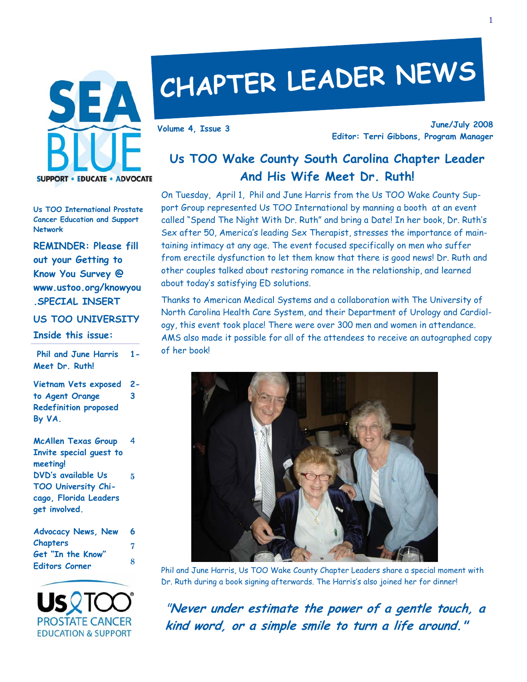

# **CHAPTER LEADER NEWS**

**June/July 2008 Editor: Terri Gibbons, Program Manager Volume 4, Issue 3** 

# **Us TOO Wake County South Carolina Chapter Leader And His Wife Meet Dr. Ruth!**

On Tuesday, April 1, Phil and June Harris from the Us TOO Wake County Support Group represented Us TOO International by manning a booth at an event called "Spend The Night With Dr. Ruth" and bring a Date! In her book, Dr. Ruth's Sex after 50, America's leading Sex Therapist, stresses the importance of maintaining intimacy at any age. The event focused specifically on men who suffer from erectile dysfunction to let them know that there is good news! Dr. Ruth and other couples talked about restoring romance in the relationship, and learned about today's satisfying ED solutions.

Thanks to American Medical Systems and a collaboration with The University of North Carolina Health Care System, and their Department of Urology and Cardiology, this event took place! There were over 300 men and women in attendance. AMS also made it possible for all of the attendees to receive an autographed copy of her book!



Phil and June Harris, Us TOO Wake County Chapter Leaders share a special moment with Dr. Ruth during a book signing afterwards. The Harris's also joined her for dinner!

"**Never under estimate the power of a gentle touch, a kind word, or a simple smile to turn a life around."**

**Us TOO International Prostate Cancer Education and Support Network** 

**REMINDER: Please fill out your Getting to Know You Survey @ www.ustoo.org/knowyou .SPECIAL INSERT** 

**US TOO UNIVERSITY** 

#### **Inside this issue:**

 **Phil and June Harris Meet Dr. Ruth! 1-** 

**Vietnam Vets exposed to Agent Orange Redefinition proposed By VA. 2- 3** 

| <b>McAllen Texas Group</b> | 4 |
|----------------------------|---|
| Invite special guest to    |   |
| meeting!                   |   |
| <b>DVD's available Us</b>  | 5 |
| TOO University Chi-        |   |
| cago, Florida Leaders      |   |
| get involved.              |   |
|                            |   |

| <b>Advocacy News, New</b> | 6 |
|---------------------------|---|
| Chapters                  | 7 |
| Get "In the Know"         |   |
| Editors Corner            | 8 |

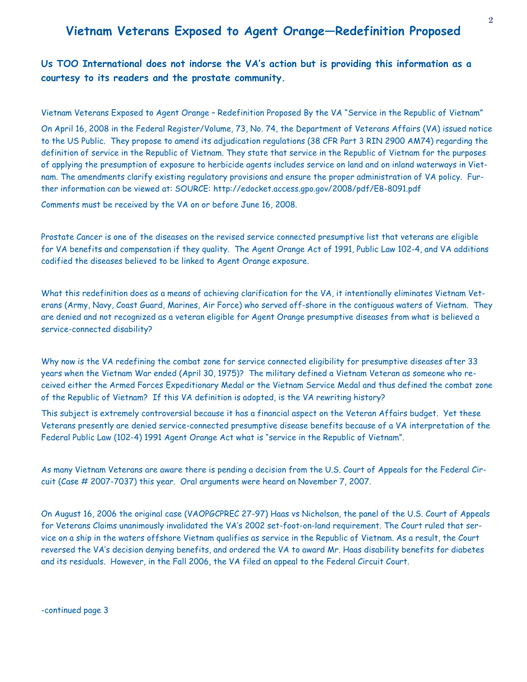# **Vietnam Veterans Exposed to Agent Orange—Redefinition Proposed**

**Us TOO International does not indorse the VA's action but is providing this information as a courtesy to its readers and the prostate community.** 

Vietnam Veterans Exposed to Agent Orange – Redefinition Proposed By the VA "Service in the Republic of Vietnam"

On April 16, 2008 in the Federal Register/Volume, 73, No. 74, the Department of Veterans Affairs (VA) issued notice to the US Public. They propose to amend its adjudication regulations (38 CFR Part 3 RIN 2900 AM74) regarding the definition of service in the Republic of Vietnam. They state that service in the Republic of Vietnam for the purposes of applying the presumption of exposure to herbicide agents includes service on land and on inland waterways in Vietnam. The amendments clarify existing regulatory provisions and ensure the proper administration of VA policy. Further information can be viewed at: SOURCE: http://edocket.access.gpo.gov/2008/pdf/E8-8091.pdf

Comments must be received by the VA on or before June 16, 2008.

Prostate Cancer is one of the diseases on the revised service connected presumptive list that veterans are eligible for VA benefits and compensation if they quality. The Agent Orange Act of 1991, Public Law 102-4, and VA additions codified the diseases believed to be linked to Agent Orange exposure.

What this redefinition does as a means of achieving clarification for the VA, it intentionally eliminates Vietnam Veterans (Army, Navy, Coast Guard, Marines, Air Force) who served off-shore in the contiguous waters of Vietnam. They are denied and not recognized as a veteran eligible for Agent Orange presumptive diseases from what is believed a service-connected disability?

Why now is the VA redefining the combat zone for service connected eligibility for presumptive diseases after 33 years when the Vietnam War ended (April 30, 1975)? The military defined a Vietnam Veteran as someone who received either the Armed Forces Expeditionary Medal or the Vietnam Service Medal and thus defined the combat zone of the Republic of Vietnam? If this VA definition is adopted, is the VA rewriting history?

This subject is extremely controversial because it has a financial aspect on the Veteran Affairs budget. Yet these Veterans presently are denied service-connected presumptive disease benefits because of a VA interpretation of the Federal Public Law (102-4) 1991 Agent Orange Act what is "service in the Republic of Vietnam".

As many Vietnam Veterans are aware there is pending a decision from the U.S. Court of Appeals for the Federal Circuit (Case # 2007-7037) this year. Oral arguments were heard on November 7, 2007.

On August 16, 2006 the original case (VAOPGCPREC 27-97) Haas vs Nicholson, the panel of the U.S. Court of Appeals for Veterans Claims unanimously invalidated the VA's 2002 set-foot-on-land requirement. The Court ruled that service on a ship in the waters offshore Vietnam qualifies as service in the Republic of Vietnam. As a result, the Court reversed the VA's decision denying benefits, and ordered the VA to award Mr. Haas disability benefits for diabetes and its residuals. However, in the Fall 2006, the VA filed an appeal to the Federal Circuit Court.

-continued page 3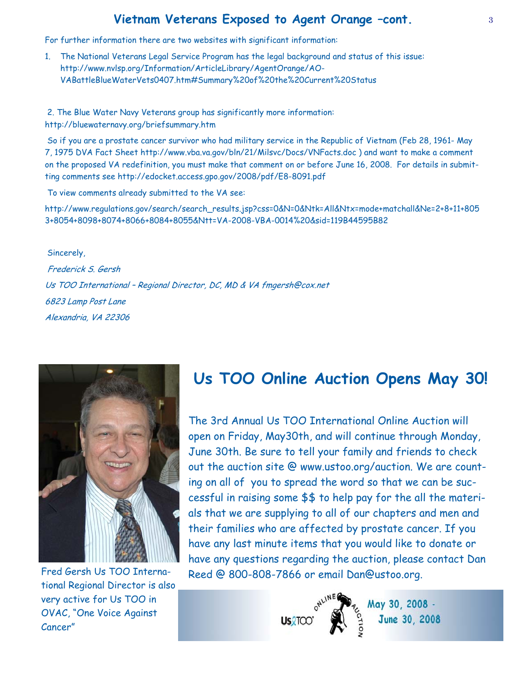## **Vietnam Veterans Exposed to Agent Orange –cont.**

For further information there are two websites with significant information:

1. The National Veterans Legal Service Program has the legal background and status of this issue: http://www.nvlsp.org/Information/ArticleLibrary/AgentOrange/AO-VABattleBlueWaterVets0407.htm#Summary%20of%20the%20Current%20Status

 2. The Blue Water Navy Veterans group has significantly more information: http://bluewaternavy.org/briefsummary.htm

 So if you are a prostate cancer survivor who had military service in the Republic of Vietnam (Feb 28, 1961- May 7, 1975 DVA Fact Sheet http://www.vba.va.gov/bln/21/Milsvc/Docs/VNFacts.doc ) and want to make a comment on the proposed VA redefinition, you must make that comment on or before June 16, 2008. For details in submitting comments see http://edocket.access.gpo.gov/2008/pdf/E8-8091.pdf

To view comments already submitted to the VA see:

http://www.regulations.gov/search/search\_results.jsp?css=0&N=0&Ntk=All&Ntx=mode+matchall&Ne=2+8+11+805 3+8054+8098+8074+8066+8084+8055&Ntt=VA-2008-VBA-0014%20&sid=119B44595B82

 Sincerely, Frederick S. Gersh Us TOO International – Regional Director, DC, MD & VA fmgersh@cox.net 6823 Lamp Post Lane Alexandria, VA 22306



Fred Gersh Us TOO International Regional Director is also very active for Us TOO in OVAC, "One Voice Against Cancer"

# **Us TOO Online Auction Opens May 30!**

The 3rd Annual Us TOO International Online Auction will open on Friday, May30th, and will continue through Monday, June 30th. Be sure to tell your family and friends to check out the auction site @ www.ustoo.org/auction. We are counting on all of you to spread the word so that we can be successful in raising some \$\$ to help pay for the all the materials that we are supplying to all of our chapters and men and their families who are affected by prostate cancer. If you have any last minute items that you would like to donate or have any questions regarding the auction, please contact Dan Reed @ 800-808-7866 or email Dan@ustoo.org.



May 30, 2008 -June 30, 2008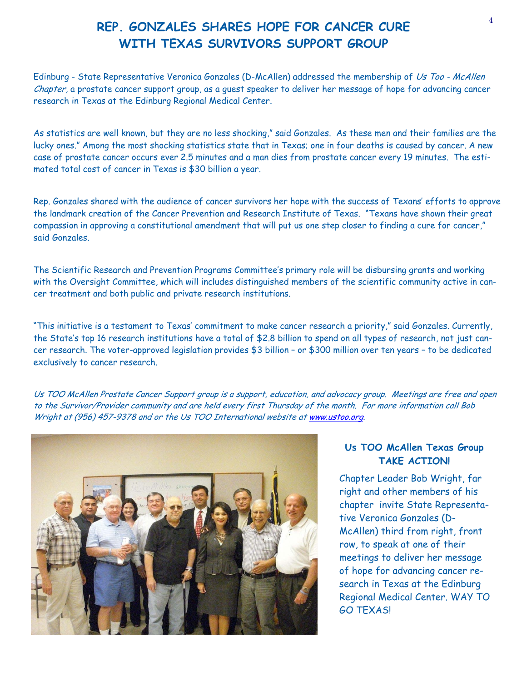# <sup>4</sup>**REP. GONZALES SHARES HOPE FOR CANCER CURE WITH TEXAS SURVIVORS SUPPORT GROUP**

Edinburg - State Representative Veronica Gonzales (D-McAllen) addressed the membership of Us Too - McAllen Chapter, a prostate cancer support group, as a guest speaker to deliver her message of hope for advancing cancer research in Texas at the Edinburg Regional Medical Center.

As statistics are well known, but they are no less shocking," said Gonzales. As these men and their families are the lucky ones." Among the most shocking statistics state that in Texas; one in four deaths is caused by cancer. A new case of prostate cancer occurs ever 2.5 minutes and a man dies from prostate cancer every 19 minutes. The estimated total cost of cancer in Texas is \$30 billion a year.

Rep. Gonzales shared with the audience of cancer survivors her hope with the success of Texans' efforts to approve the landmark creation of the Cancer Prevention and Research Institute of Texas. "Texans have shown their great compassion in approving a constitutional amendment that will put us one step closer to finding a cure for cancer," said Gonzales.

The Scientific Research and Prevention Programs Committee's primary role will be disbursing grants and working with the Oversight Committee, which will includes distinguished members of the scientific community active in cancer treatment and both public and private research institutions.

"This initiative is a testament to Texas' commitment to make cancer research a priority," said Gonzales. Currently, the State's top 16 research institutions have a total of \$2.8 billion to spend on all types of research, not just cancer research. The voter-approved legislation provides \$3 billion – or \$300 million over ten years – to be dedicated exclusively to cancer research.

Us TOO McAllen Prostate Cancer Support group is a support, education, and advocacy group. Meetings are free and open to the Survivor/Provider community and are held every first Thursday of the month. For more information call Bob Wright at (956) 457-9378 and or the Us TOO International website at www.ustoo.org.



### **Us TOO McAllen Texas Group TAKE ACTION!**

Chapter Leader Bob Wright, far right and other members of his chapter invite State Representative Veronica Gonzales (D-McAllen) third from right, front row, to speak at one of their meetings to deliver her message of hope for advancing cancer research in Texas at the Edinburg Regional Medical Center. WAY TO GO TEXAS!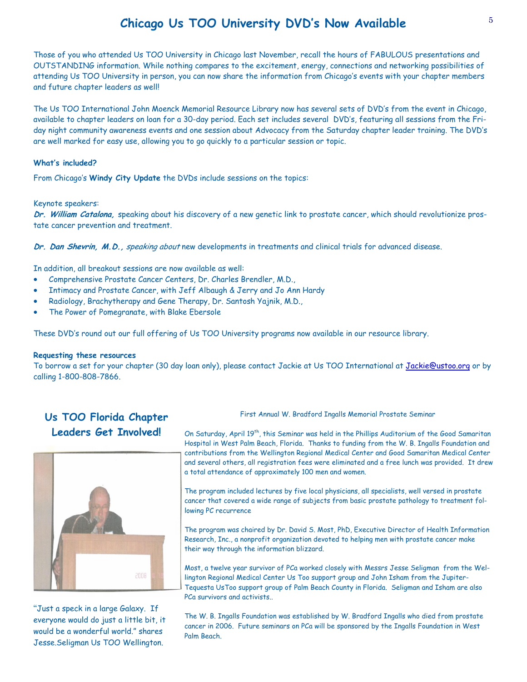# <sup>5</sup>**Chicago Us TOO University DVD's Now Available**

Those of you who attended Us TOO University in Chicago last November, recall the hours of FABULOUS presentations and OUTSTANDING information. While nothing compares to the excitement, energy, connections and networking possibilities of attending Us TOO University in person, you can now share the information from Chicago's events with your chapter members and future chapter leaders as well!

The Us TOO International John Moenck Memorial Resource Library now has several sets of DVD's from the event in Chicago, available to chapter leaders on loan for a 30-day period. Each set includes several DVD's, featuring all sessions from the Friday night community awareness events and one session about Advocacy from the Saturday chapter leader training. The DVD's are well marked for easy use, allowing you to go quickly to a particular session or topic.

#### **What's included?**

From Chicago's **Windy City Update** the DVDs include sessions on the topics:

#### Keynote speakers:

**Dr. William Catalona,** speaking about his discovery of a new genetic link to prostate cancer, which should revolutionize prostate cancer prevention and treatment.

**Dr. Dan Shevrin, M.D.,** speaking about new developments in treatments and clinical trials for advanced disease.

In addition, all breakout sessions are now available as well:

- Comprehensive Prostate Cancer Centers, Dr. Charles Brendler, M.D.,
- Intimacy and Prostate Cancer, with Jeff Albaugh & Jerry and Jo Ann Hardy
- Radiology, Brachytherapy and Gene Therapy, Dr. Santosh Yajnik, M.D.,
- The Power of Pomegranate, with Blake Ebersole

These DVD's round out our full offering of Us TOO University programs now available in our resource library.

#### **Requesting these resources**

To borrow a set for your chapter (30 day loan only), please contact Jackie at Us TOO International at Jackie@ustoo.org or by calling 1-800-808-7866.

## **Us TOO Florida Chapter Leaders Get Involved!**



"Just a speck in a large Galaxy. If everyone would do just a little bit, it would be a wonderful world." shares Jesse.Seligman Us TOO Wellington.

First Annual W. Bradford Ingalls Memorial Prostate Seminar

On Saturday, April 19th, this Seminar was held in the Phillips Auditorium of the Good Samaritan Hospital in West Palm Beach, Florida. Thanks to funding from the W. B. Ingalls Foundation and contributions from the Wellington Regional Medical Center and Good Samaritan Medical Center and several others, all registration fees were eliminated and a free lunch was provided. It drew a total attendance of approximately 100 men and women.

The program included lectures by five local physicians, all specialists, well versed in prostate cancer that covered a wide range of subjects from basic prostate pathology to treatment following PC recurrence

The program was chaired by Dr. David S. Most, PhD, Executive Director of Health Information Research, Inc., a nonprofit organization devoted to helping men with prostate cancer make their way through the information blizzard.

Most, a twelve year survivor of PCa worked closely with Messrs Jesse Seligman from the Wellington Regional Medical Center Us Too support group and John Isham from the Jupiter-Tequesta UsToo support group of Palm Beach County in Florida. Seligman and Isham are also PCa survivors and activists..

The W. B. Ingalls Foundation was established by W. Bradford Ingalls who died from prostate cancer in 2006. Future seminars on PCa will be sponsored by the Ingalls Foundation in West Palm Beach.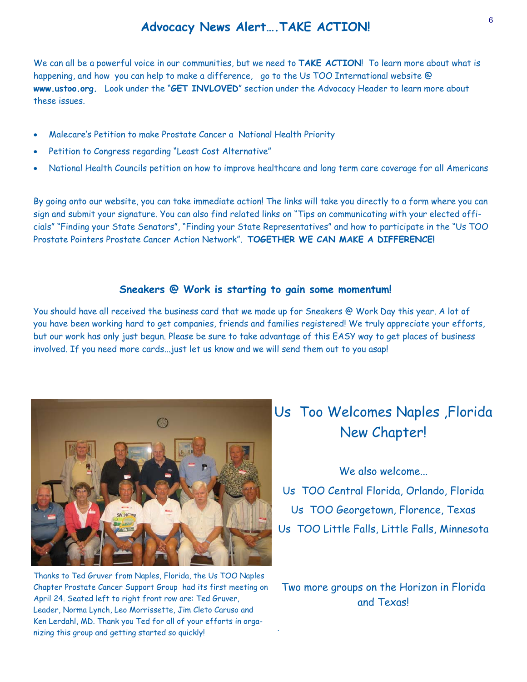## **Advocacy News Alert….TAKE ACTION!**

We can all be a powerful voice in our communities, but we need to **TAKE ACTION**! To learn more about what is happening, and how you can help to make a difference, go to the Us TOO International website @ **www.ustoo.org.** Look under the "**GET INVLOVED**" section under the Advocacy Header to learn more about these issues.

- Malecare's Petition to make Prostate Cancer a National Health Priority
- Petition to Congress regarding "Least Cost Alternative"
- National Health Councils petition on how to improve healthcare and long term care coverage for all Americans

By going onto our website, you can take immediate action! The links will take you directly to a form where you can sign and submit your signature. You can also find related links on "Tips on communicating with your elected officials" "Finding your State Senators", "Finding your State Representatives" and how to participate in the "Us TOO Prostate Pointers Prostate Cancer Action Network". **TOGETHER WE CAN MAKE A DIFFERENCE!**

#### **Sneakers @ Work is starting to gain some momentum!**

You should have all received the business card that we made up for Sneakers @ Work Day this year. A lot of you have been working hard to get companies, friends and families registered! We truly appreciate your efforts, but our work has only just begun. Please be sure to take advantage of this EASY way to get places of business involved. If you need more cards...just let us know and we will send them out to you asap!

.



Thanks to Ted Gruver from Naples, Florida, the Us TOO Naples Chapter Prostate Cancer Support Group had its first meeting on April 24. Seated left to right front row are: Ted Gruver, Leader, Norma Lynch, Leo Morrissette, Jim Cleto Caruso and Ken Lerdahl, MD. Thank you Ted for all of your efforts in organizing this group and getting started so quickly!

# Us Too Welcomes Naples ,Florida New Chapter!

We also welcome... Us TOO Central Florida, Orlando, Florida Us TOO Georgetown, Florence, Texas Us TOO Little Falls, Little Falls, Minnesota

Two more groups on the Horizon in Florida and Texas!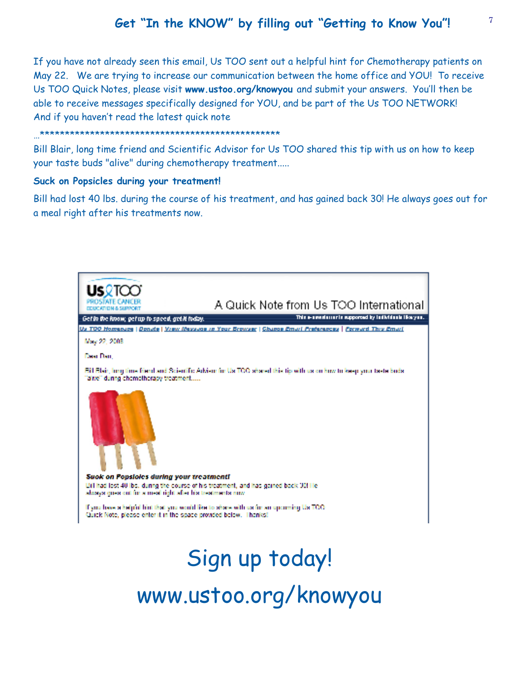# **Get "In the KNOW" by filling out "Getting to Know You"!**

If you have not already seen this email, Us TOO sent out a helpful hint for Chemotherapy patients on May 22. We are trying to increase our communication between the home office and YOU! To receive Us TOO Quick Notes, please visit **www.ustoo.org/knowyou** and submit your answers. You'll then be able to receive messages specifically designed for YOU, and be part of the Us TOO NETWORK! And if you haven't read the latest quick note

#### …\*\*\*\*\*\*\*\*\*\*\*\*\*\*\*\*\*\*\*\*\*\*\*\*\*\*\*\*\*\*\*\*\*\*\*\*\*\*\*\*\*\*\*\*\*\*\*\*

Bill Blair, long time friend and Scientific Advisor for Us TOO shared this tip with us on how to keep your taste buds "alive" during chemotherapy treatment.....

#### **Suck on Popsicles during your treatment!**

Bill had lost 40 lbs. during the course of his treatment, and has gained back 30! He always goes out for a meal right after his treatments now.



www.ustoo.org/knowyou